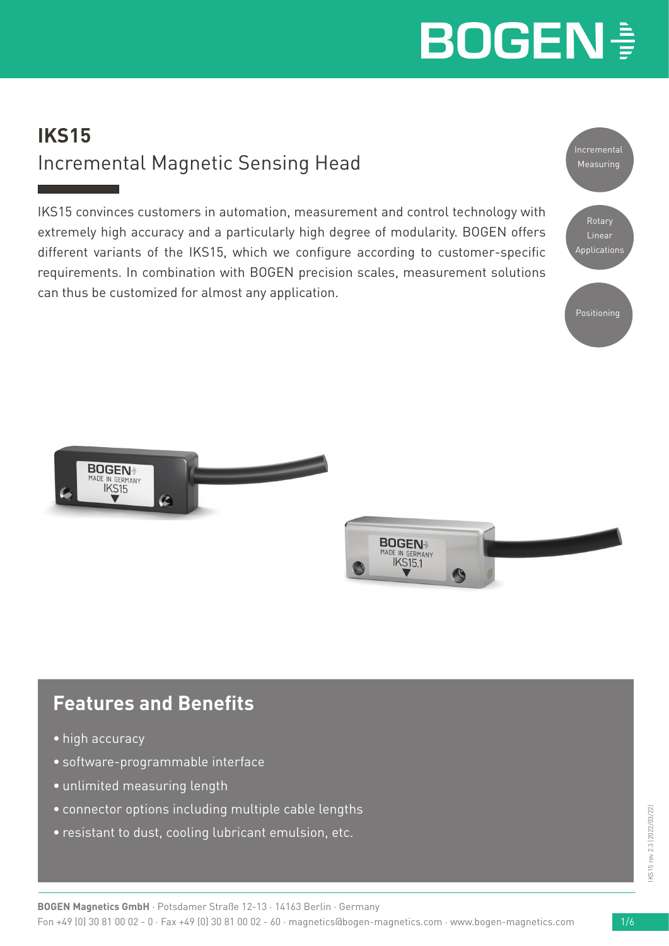# **IKS15** Incremental Magnetic Sensing Head

IKS15 convinces customers in automation, measurement and control technology with extremely high accuracy and a particularly high degree of modularity. BOGEN offers different variants of the IKS15, which we configure according to customer-specific requirements. In combination with BOGEN precision scales, measurement solutions can thus be customized for almost any application.







# **Features and Benefits**

- high accuracy
- software-programmable interface
- unlimited measuring length
- connector options including multiple cable lengths
- resistant to dust, cooling lubricant emulsion, etc.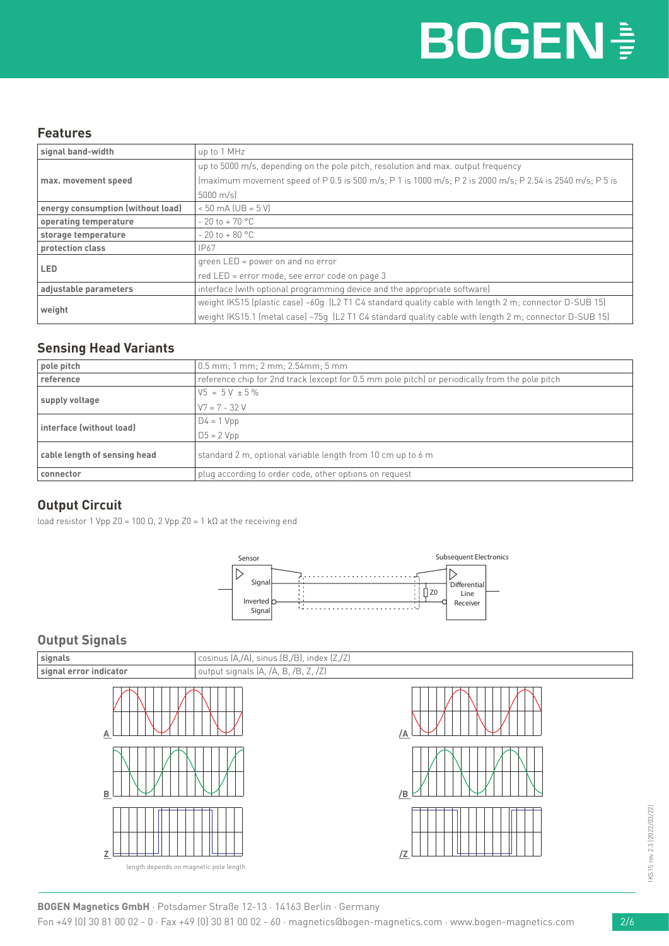### **Features**

| signal band-width                                                                                  | up to 1 MHz                                                                                               |  |
|----------------------------------------------------------------------------------------------------|-----------------------------------------------------------------------------------------------------------|--|
|                                                                                                    | up to 5000 m/s, depending on the pole pitch, resolution and max. output frequency                         |  |
| max. movement speed                                                                                | (maximum movement speed of P 0.5 is 500 m/s; P 1 is 1000 m/s; P 2 is 2000 m/s; P 2.54 is 2540 m/s; P 5 is |  |
|                                                                                                    | $5000 \text{ m/s}$                                                                                        |  |
| energy consumption (without load)                                                                  | $< 50$ mA (UB = $5$ V)                                                                                    |  |
| operating temperature<br>$-20$ to $+70$ °C                                                         |                                                                                                           |  |
| $-20$ to $+80$ °C<br>storage temperature                                                           |                                                                                                           |  |
| IP67<br>protection class                                                                           |                                                                                                           |  |
| LED.                                                                                               | green LED = power on and no error                                                                         |  |
|                                                                                                    | red LED = error mode, see error code on page 3                                                            |  |
| interface (with optional programming device and the appropriate software)<br>adjustable parameters |                                                                                                           |  |
|                                                                                                    | weight IKS15 (plastic case) ~60q (L2 T1 C4 standard quality cable with length 2 m; connector D-SUB 15)    |  |
| weight                                                                                             | weight IKS15.1 (metal case) ~75q (L2 T1 C4 standard quality cable with length 2 m; connector D-SUB 15)    |  |

### **Sensing Head Variants**

| pole pitch                   | 0.5 mm; 1 mm; 2 mm; 2.54mm; 5 mm                                                                |  |
|------------------------------|-------------------------------------------------------------------------------------------------|--|
| reference                    | reference chip for 2nd track (except for 0.5 mm pole pitch) or periodically from the pole pitch |  |
|                              | $V5 = 5V \pm 5\%$                                                                               |  |
| supply voltage               | $V7 = 7 - 32 V$                                                                                 |  |
| interface (without load)     | $D4 = 1 Vpp$                                                                                    |  |
|                              | $D5 = 2 Vpp$                                                                                    |  |
| cable length of sensing head | standard 2 m, optional variable length from 10 cm up to 6 m                                     |  |
| connector                    | plug according to order code, other options on request                                          |  |

### **Output Circuit**

load resistor 1 Vpp Z0 = 100 Ω, 2 Vpp Z0 = 1 kΩ at the receiving end



### **Output Signals**



IKS15 rev 2.3 (2022/03/22) IKS15 rev 2.3 (2022/03/22)

**BOGEN Magnetics GmbH** · Potsdamer Straße 12-13 · 14163 Berlin · Germany

Fon +49 (0) 30 81 00 02 - 0 · Fax +49 (0) 30 81 00 02 - 60 · magnetics@bogen-magnetics.com · www.bogen-magnetics.com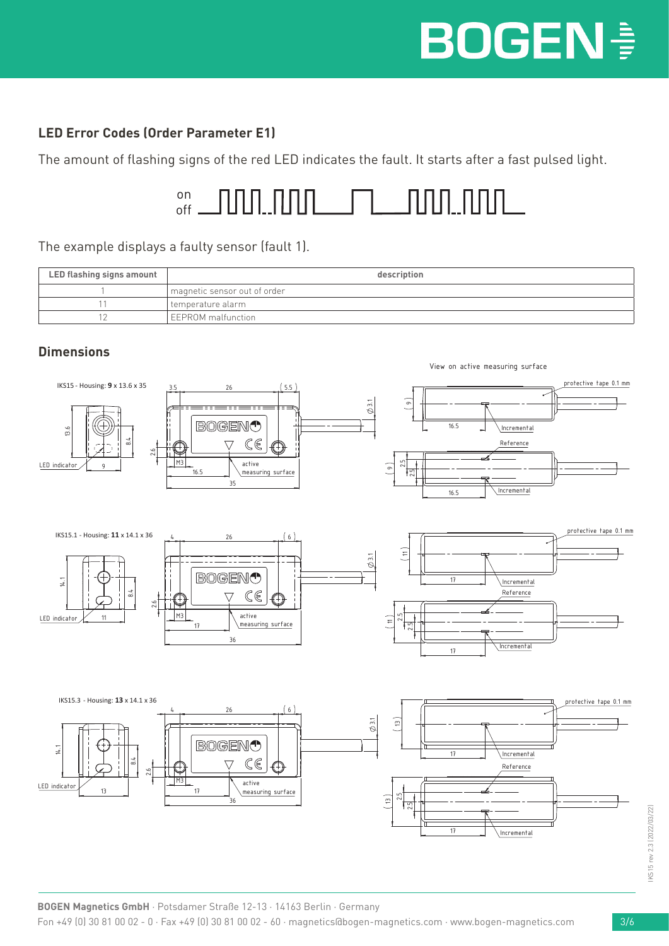## **LED Error Codes (Order Parameter E1)**

The amount of flashing signs of the red LED indicates the fault. It starts after a fast pulsed light.



#### The example displays a faulty sensor (fault 1).

| LED flashing signs amount | description                  |  |
|---------------------------|------------------------------|--|
|                           | magnetic sensor out of order |  |
|                           | I temperature alarm          |  |
|                           | <b>LEEPROM</b> malfunction   |  |



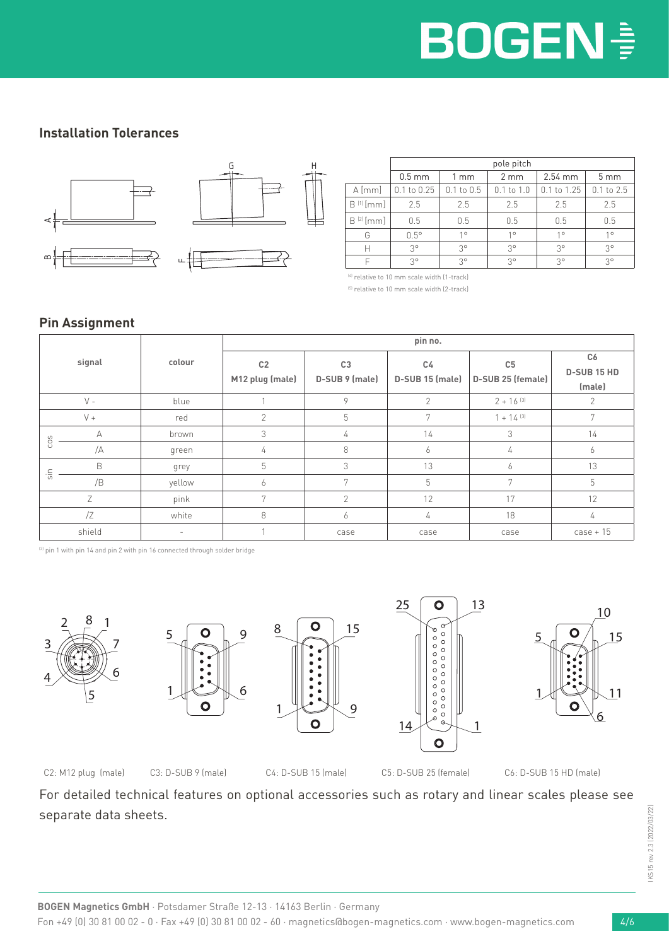## **Installation Tolerances**



|                | pole pitch      |                |                  |                 |                 |
|----------------|-----------------|----------------|------------------|-----------------|-----------------|
|                | $0.5$ mm        | $1 \text{ mm}$ | $2 \, \text{mm}$ | $2.54$ mm       | 5 <sub>mm</sub> |
| $A$ [mm]       | $0.1$ to $0.25$ | $0.1$ to $0.5$ | $0.1$ to $1.0$   | $0.1$ to $1.25$ | $0.1$ to $2.5$  |
| $B^{(1)}$ [mm] | 2.5             | 2.5            | 2.5              | 2.5             | 2.5             |
| $B^{(2)}[mm]$  | 0.5             | 0.5            | 0.5              | 0.5             | 0.5             |
| G              | $0.5^\circ$     | $1^{\circ}$    | $1^{\circ}$      | $1^{\circ}$     | $1^{\circ}$     |
| Н              | $3^{\circ}$     | $3^{\circ}$    | $3^{\circ}$      | $3^{\circ}$     | $3^{\circ}$     |
|                | $3^{\circ}$     | 30             | $3^{\circ}$      | $3^{\circ}$     | $3^{\circ}$     |

(4) relative to 10 mm scale width (1-track)

(5) relative to 10 mm scale width (2-track)

#### **Pin Assignment**

|                 |        |        | pin no.                           |                                  |                       |                                     |                                    |  |
|-----------------|--------|--------|-----------------------------------|----------------------------------|-----------------------|-------------------------------------|------------------------------------|--|
| signal          |        | colour | C <sub>2</sub><br>M12 plug (male) | C <sub>3</sub><br>D-SUB 9 (male) | C4<br>D-SUB 15 (male) | C <sub>5</sub><br>D-SUB 25 (female) | C6<br><b>D-SUB 15 HD</b><br>(male) |  |
|                 | $V -$  | blue   |                                   | 9                                | $\mathcal{P}$         | $2 + 16$ (3)                        | 2                                  |  |
|                 | $V +$  | red    | $\overline{2}$                    | 5                                | 7                     | $1 + 14^{ (3)}$                     | 7                                  |  |
| CO <sub>5</sub> | А      | brown  | 3                                 | 4                                | 14                    | 3                                   | 14                                 |  |
|                 | /A     | green  | 4                                 | 8                                | 6                     | 4                                   | 6                                  |  |
|                 | B      | grey   | 5                                 | 3                                | 13                    | <sup>6</sup>                        | 13                                 |  |
| $\frac{1}{5}$   | /B     | yellow | 6                                 | 7                                | 5                     | $\overline{7}$                      | 5                                  |  |
|                 | Ζ      | pink   | $\overline{7}$                    | $\mathcal{P}$                    | 12                    | 17                                  | 12                                 |  |
|                 | Z      | white  | 8                                 | 6                                | 4                     | 18                                  | 4                                  |  |
|                 | shield |        |                                   | case                             | case                  | case                                | $case + 15$                        |  |

<sup>(3)</sup> pin 1 with pin 14 and pin 2 with pin 16 connected through solder bridge





6

9







C2: M12 plug (male) C3: D-SUB 9 (male) C4: D-SUB 15 (male) C5: D-SUB 25 (female) C6: D-SUB 15 HD (male)

For detailed technical features on optional accessories such as rotary and linear scales please see separate data sheets.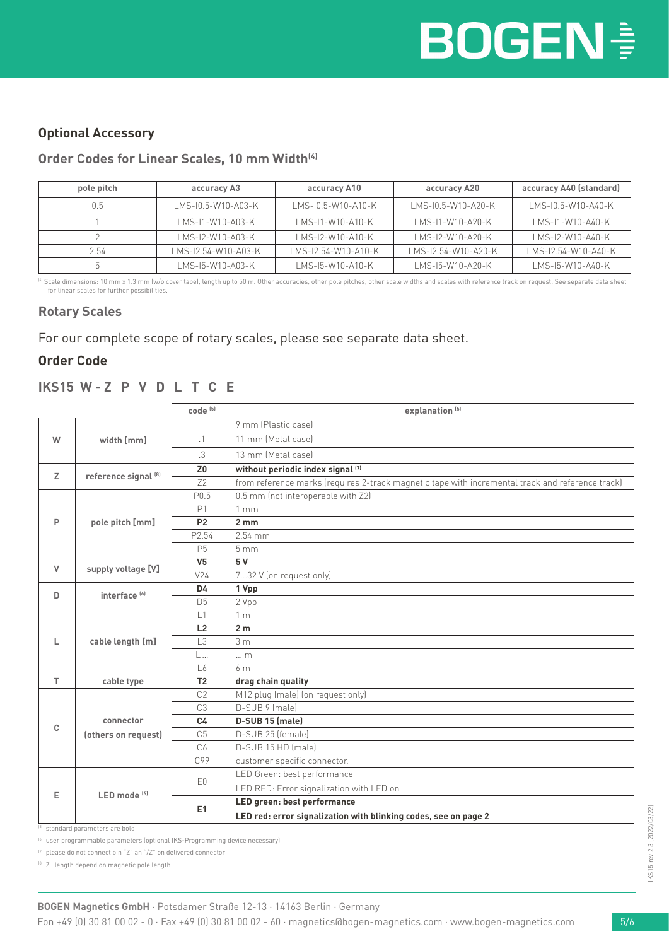### **Optional Accessory**

#### Order Codes for Linear Scales, 10 mm Width<sup>(4)</sup>

| pole pitch | accuracy A3         | accuracy A10        | accuracy A20        | accuracy A40 (standard) |
|------------|---------------------|---------------------|---------------------|-------------------------|
| 0.5        | LMS-10.5-W10-A03-K  | LMS-10.5-W10-A10-K  | LMS-10.5-W10-A20-K  | LMS-10.5-W10-A40-K      |
|            | LMS-11-W10-A03-K    | LMS-11-W10-A10-K    | LMS-11-W10-A20-K    | LMS-11-W10-A40-K        |
|            | LMS-12-W10-A03-K    | LMS-12-W10-A10-K    | LMS-12-W10-A20-K    | LMS-12-W10-A40-K        |
| 2.54       | LMS-12.54-W10-A03-K | LMS-12.54-W10-A10-K | LMS-12.54-W10-A20-K | LMS-12.54-W10-A40-K     |
|            | LMS-15-W10-A03-K    | LMS-15-W10-A10-K    | LMS-15-W10-A20-K    | LMS-15-W10-A40-K        |

<sup>(4)</sup> Scale dimensions: 10 mm x 1.3 mm (w/o cover tape), length up to 50 m. Other accuracies, other pole pitches, other scale widths and scales with reference track on request. See separate data sheet for linear scales for further possibilities.

#### **Rotary Scales**

For our complete scope of rotary scales, please see separate data sheet.

#### **Order Code**

#### **IKS15 W - Z P V D L T C E**

|    |                          | $code^{(5)}$        | explanation <sup>(5)</sup>                                                                       |  |  |  |
|----|--------------------------|---------------------|--------------------------------------------------------------------------------------------------|--|--|--|
|    |                          |                     | 9 mm (Plastic case)                                                                              |  |  |  |
| W  | width [mm]               | $\cdot$ 1           | 11 mm (Metal case)                                                                               |  |  |  |
|    |                          | .3                  | 13 mm (Metal case)                                                                               |  |  |  |
| Z  | reference signal [8]     | Z <sub>0</sub>      | without periodic index signal (7)                                                                |  |  |  |
|    |                          | 72                  | from reference marks (requires 2-track magnetic tape with incremental track and reference track) |  |  |  |
|    |                          | P <sub>0.5</sub>    | 0.5 mm (not interoperable with Z2)                                                               |  |  |  |
|    |                          | P1                  | 1mm                                                                                              |  |  |  |
| P  | pole pitch [mm]          | <b>P2</b>           | 2mm                                                                                              |  |  |  |
|    |                          | P2.54               | $2.54$ mm                                                                                        |  |  |  |
|    |                          | P <sub>5</sub>      | 5 <sub>mm</sub>                                                                                  |  |  |  |
| V  | supply voltage [V]       | V <sub>5</sub>      | 5V                                                                                               |  |  |  |
|    |                          | $V$ <sup>24</sup>   | 732 V (on request only)                                                                          |  |  |  |
| D  | interface <sup>[6]</sup> | D4                  | 1 Vpp                                                                                            |  |  |  |
|    |                          | D <sub>5</sub>      | 2 Vpp                                                                                            |  |  |  |
|    | cable length [m]         | $\lfloor 1 \rfloor$ | 1 <sub>m</sub>                                                                                   |  |  |  |
|    |                          | L2                  | 2 <sub>m</sub>                                                                                   |  |  |  |
| L  |                          | L <sub>3</sub>      | 3 <sub>m</sub>                                                                                   |  |  |  |
|    |                          | L                   | $\ldots$ m                                                                                       |  |  |  |
|    |                          | L6                  | 6 <sub>m</sub>                                                                                   |  |  |  |
| T. | cable type               | T <sub>2</sub>      | drag chain quality                                                                               |  |  |  |
|    |                          | C <sub>2</sub>      | M12 plug (male) (on request only)                                                                |  |  |  |
|    |                          | C <sub>3</sub>      | D-SUB 9 (male)                                                                                   |  |  |  |
| C  | connector                | C <sub>4</sub>      | D-SUB 15 (male)                                                                                  |  |  |  |
|    | (others on request)      | C <sub>5</sub>      | D-SUB 25 (female)                                                                                |  |  |  |
|    |                          | C6                  | D-SUB 15 HD (male)                                                                               |  |  |  |
|    |                          | C99                 | customer specific connector.                                                                     |  |  |  |
| Е  |                          | E0                  | LED Green: best performance                                                                      |  |  |  |
|    |                          |                     | LED RED: Error signalization with LED on                                                         |  |  |  |
|    | LED mode <sup>[6]</sup>  | E1                  | LED green: best performance                                                                      |  |  |  |
|    |                          |                     | LED red: error signalization with blinking codes, see on page 2                                  |  |  |  |

<sup>(5)</sup> standard parameters are bold

(6) user programmable parameters (optional IKS-Programming device necessary)

(7) please do not connect pin "Z" an "/Z" on delivered connector

(8) Z length depend on magnetic pole length